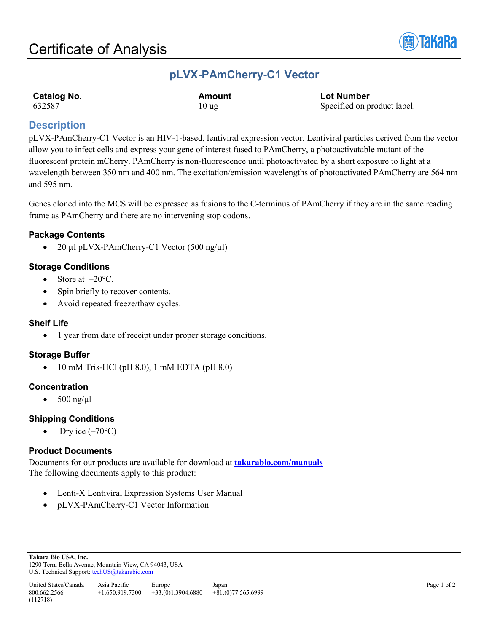

## **pLVX-PAmCherry-C1 Vector**

| <b>Catalog No.</b> | <b>Amount</b>    | <b>Lot Number</b>           |
|--------------------|------------------|-----------------------------|
| 632587             | 10 <sub>ug</sub> | Specified on product label. |

## **Description**

pLVX-PAmCherry-C1 Vector is an HIV-1-based, lentiviral expression vector. Lentiviral particles derived from the vector allow you to infect cells and express your gene of interest fused to PAmCherry, a photoactivatable mutant of the fluorescent protein mCherry. PAmCherry is non-fluorescence until photoactivated by a short exposure to light at a wavelength between 350 nm and 400 nm. The excitation/emission wavelengths of photoactivated PAmCherry are 564 nm and 595 nm.

Genes cloned into the MCS will be expressed as fusions to the C-terminus of PAmCherry if they are in the same reading frame as PAmCherry and there are no intervening stop codons.

## **Package Contents**

• 20 µl pLVX-PAmCherry-C1 Vector (500 ng/µl)

## **Storage Conditions**

- Store at  $-20^{\circ}$ C.
- Spin briefly to recover contents.
- Avoid repeated freeze/thaw cycles.

### **Shelf Life**

• 1 year from date of receipt under proper storage conditions.

### **Storage Buffer**

• 10 mM Tris-HCl (pH 8.0), 1 mM EDTA (pH 8.0)

### **Concentration**

•  $500$  ng/ $\mu$ l

### **Shipping Conditions**

Dry ice  $(-70^{\circ}C)$ 

### **Product Documents**

Documents for our products are available for download at **[takarabio.com/manuals](http://www.takarabio.com/manuals)** The following documents apply to this product:

- Lenti-X Lentiviral Expression Systems User Manual
- pLVX-PAmCherry-C1 Vector Information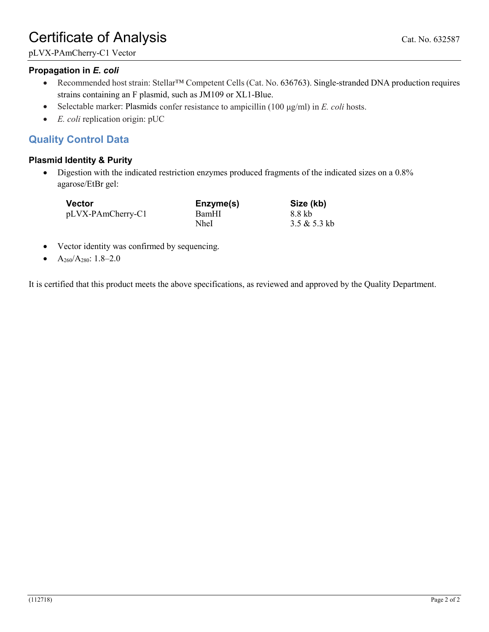# Certificate of Analysis Cat. No. 632587

## **Propagation in** *E. coli*

- Recommended host strain: Stellar™ Competent Cells (Cat. No. 636763). Single-stranded DNA production requires strains containing an F plasmid, such as JM109 or XL1-Blue.
- Selectable marker: Plasmids confer resistance to ampicillin (100 μg/ml) in *E. coli* hosts.
- *E. coli* replication origin: pUC

## **Quality Control Data**

## **Plasmid Identity & Purity**

• Digestion with the indicated restriction enzymes produced fragments of the indicated sizes on a 0.8% agarose/EtBr gel:

| <b>Vector</b>     | Enzyme(s) | Size (kb)      |
|-------------------|-----------|----------------|
| pLVX-PAmCherry-C1 | BamHI     | 8.8 kb         |
|                   | NheI      | $3.5 & 5.3$ kb |

- Vector identity was confirmed by sequencing.
- A260/A280: 1.8–2.0

It is certified that this product meets the above specifications, as reviewed and approved by the Quality Department.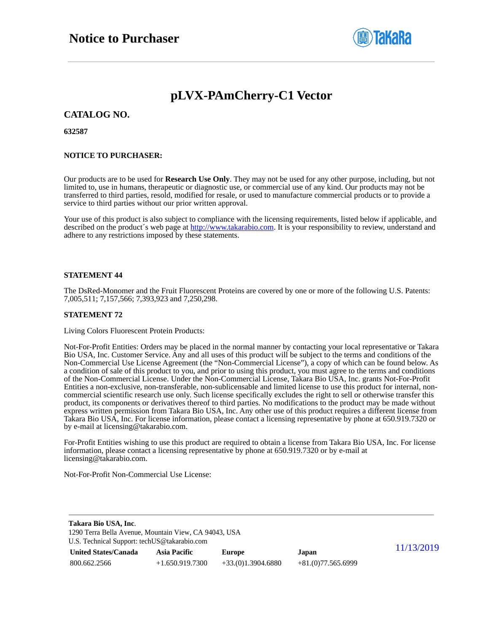

## **pLVX-PAmCherry-C1 Vector**

#### **CATALOG NO.**

#### **632587**

#### **NOTICE TO PURCHASER:**

Our products are to be used for **Research Use Only**. They may not be used for any other purpose, including, but not limited to, use in humans, therapeutic or diagnostic use, or commercial use of any kind. Our products may not be transferred to third parties, resold, modified for resale, or used to manufacture commercial products or to provide a service to third parties without our prior written approval.

Your use of this product is also subject to compliance with the licensing requirements, listed below if applicable, and described on the product's web page at [http://www.takarabio.com.](http://www.takarabio.com/) It is your responsibility to review, understand and adhere to any restrictions imposed by these statements.

#### **STATEMENT 44**

The DsRed-Monomer and the Fruit Fluorescent Proteins are covered by one or more of the following U.S. Patents: 7,005,511; 7,157,566; 7,393,923 and 7,250,298.

#### **STATEMENT 72**

Living Colors Fluorescent Protein Products:

Not-For-Profit Entities: Orders may be placed in the normal manner by contacting your local representative or Takara Bio USA, Inc. Customer Service. Any and all uses of this product will be subject to the terms and conditions of the Non-Commercial Use License Agreement (the "Non-Commercial License"), a copy of which can be found below. As a condition of sale of this product to you, and prior to using this product, you must agree to the terms and conditions of the Non-Commercial License. Under the Non-Commercial License, Takara Bio USA, Inc. grants Not-For-Profit Entities a non-exclusive, non-transferable, non-sublicensable and limited license to use this product for internal, noncommercial scientific research use only. Such license specifically excludes the right to sell or otherwise transfer this product, its components or derivatives thereof to third parties. No modifications to the product may be made without express written permission from Takara Bio USA, Inc. Any other use of this product requires a different license from Takara Bio USA, Inc. For license information, please contact a licensing representative by phone at 650.919.7320 or by e-mail at licensing@takarabio.com.

For-Profit Entities wishing to use this product are required to obtain a license from Takara Bio USA, Inc. For license information, please contact a licensing representative by phone at 650.919.7320 or by e-mail at licensing@takarabio.com.

Not-For-Profit Non-Commercial Use License:

| Takara Bio USA, Inc.                                  |                     |                     |                     |            |
|-------------------------------------------------------|---------------------|---------------------|---------------------|------------|
| 1290 Terra Bella Avenue, Mountain View, CA 94043, USA |                     |                     |                     |            |
| U.S. Technical Support: techUS@takarabio.com          |                     |                     |                     |            |
| <b>United States/Canada</b>                           | <b>Asia Pacific</b> | Europe              | Japan               | 11/13/2019 |
| 800.662.2566                                          | $+1.650.919.7300$   | $+33(0)1.3904.6880$ | $+81(0)77.565.6999$ |            |